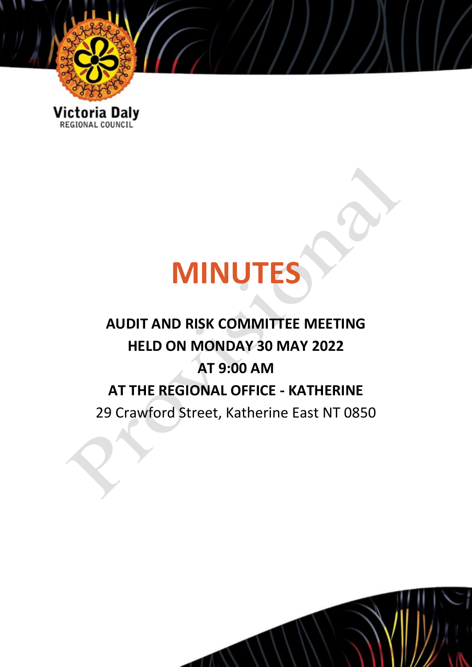

Victoria Daly

# **MINUTES**

# **AUDIT AND RISK COMMITTEE MEETING HELD ON MONDAY 30 MAY 2022 AT 9:00 AM AT THE REGIONAL OFFICE - KATHERINE** 29 Crawford Street, Katherine East NT 0850

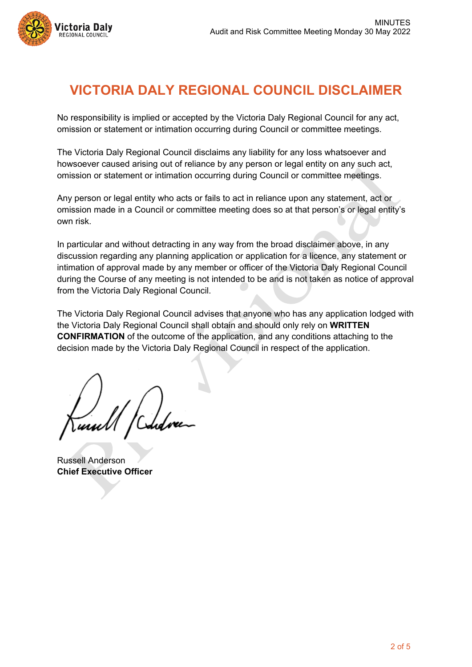

# **VICTORIA DALY REGIONAL COUNCIL DISCLAIMER**

No responsibility is implied or accepted by the Victoria Daly Regional Council for any act, omission or statement or intimation occurring during Council or committee meetings.

The Victoria Daly Regional Council disclaims any liability for any loss whatsoever and howsoever caused arising out of reliance by any person or legal entity on any such act, omission or statement or intimation occurring during Council or committee meetings.

Any person or legal entity who acts or fails to act in reliance upon any statement, act or omission made in a Council or committee meeting does so at that person's or legal entity's own risk.

In particular and without detracting in any way from the broad disclaimer above, in any discussion regarding any planning application or application for a licence, any statement or intimation of approval made by any member or officer of the Victoria Daly Regional Council during the Course of any meeting is not intended to be and is not taken as notice of approval from the Victoria Daly Regional Council.

The Victoria Daly Regional Council advises that anyone who has any application lodged with the Victoria Daly Regional Council shall obtain and should only rely on **WRITTEN CONFIRMATION** of the outcome of the application, and any conditions attaching to the decision made by the Victoria Daly Regional Council in respect of the application.

Russell Anderson **Chief Executive Officer**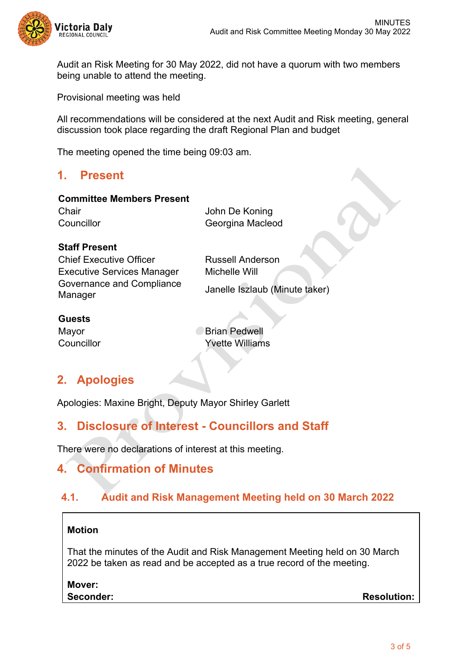

Audit an Risk Meeting for 30 May 2022, did not have a quorum with two members being unable to attend the meeting.

Provisional meeting was held

All recommendations will be considered at the next Audit and Risk meeting, general discussion took place regarding the draft Regional Plan and budget

The meeting opened the time being 09:03 am.

# **1. Present**

#### **Committee Members Present**

Chair **Chair** John De Koning Councillor Georgina Macleod

#### **Staff Present**

Chief Executive Officer **Russell Anderson** Executive Services Manager Michelle Will Governance and Compliance Manager Janelle Iszlaub (Minute taker)

#### **Guests**

Mayor **Brian Pedwell** Councillor Yvette Williams

# **2. Apologies**

Apologies: Maxine Bright, Deputy Mayor Shirley Garlett

# **3. Disclosure of Interest - Councillors and Staff**

There were no declarations of interest at this meeting.

# **4. Confirmation of Minutes**

# **4.1. Audit and Risk Management Meeting held on 30 March 2022**

#### **Motion**

That the minutes of the Audit and Risk Management Meeting held on 30 March 2022 be taken as read and be accepted as a true record of the meeting.

**Mover:**

**Seconder: Resolution:**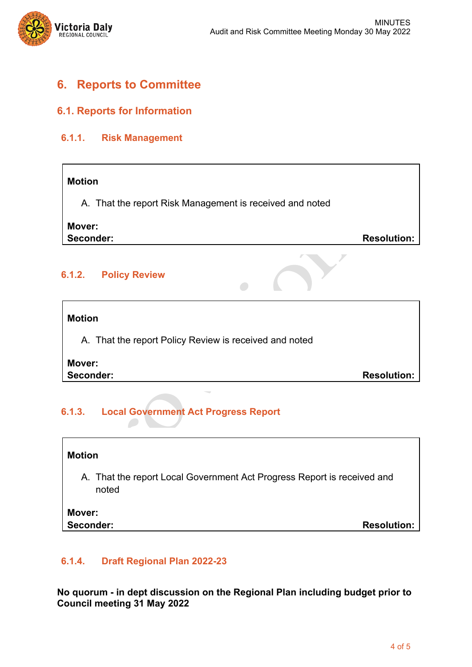

# **6. Reports to Committee**

#### **6.1. Reports for Information**

#### **6.1.1. Risk Management**

#### **Motion**

A. That the report Risk Management is received and noted

### **Mover:**

**Seconder: Resolution: Resolution:** 

#### **6.1.2. Policy Review**

#### **Motion**

A. That the report Policy Review is received and noted

# **Mover:**

**Seconder: Resolution: Resolution:** 

# **6.1.3. Local Government Act Progress Report**

| <b>Motion</b>                                                                    |                    |
|----------------------------------------------------------------------------------|--------------------|
| A. That the report Local Government Act Progress Report is received and<br>noted |                    |
| Mover:<br>Seconder:                                                              | <b>Resolution:</b> |

#### **6.1.4. Draft Regional Plan 2022-23**

**No quorum - in dept discussion on the Regional Plan including budget prior to Council meeting 31 May 2022**